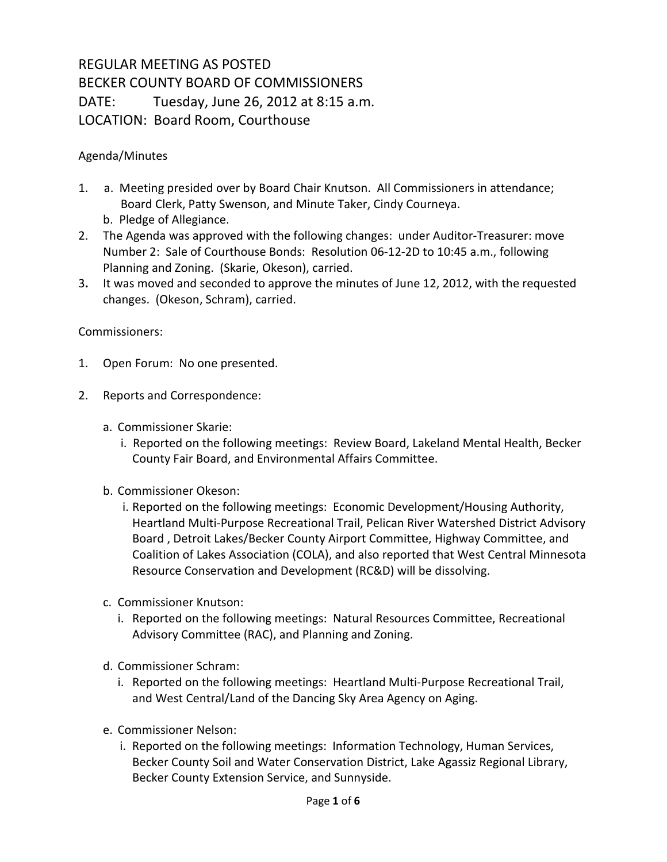## REGULAR MEETING AS POSTED BECKER COUNTY BOARD OF COMMISSIONERS DATE: Tuesday, June 26, 2012 at 8:15 a.m. LOCATION: Board Room, Courthouse

## Agenda/Minutes

- 1. a. Meeting presided over by Board Chair Knutson. All Commissioners in attendance; Board Clerk, Patty Swenson, and Minute Taker, Cindy Courneya.
	- b. Pledge of Allegiance.
- 2. The Agenda was approved with the following changes: under Auditor-Treasurer: move Number 2: Sale of Courthouse Bonds: Resolution 06-12-2D to 10:45 a.m., following Planning and Zoning. (Skarie, Okeson), carried.
- 3**.** It was moved and seconded to approve the minutes of June 12, 2012, with the requested changes. (Okeson, Schram), carried.

## Commissioners:

- 1. Open Forum: No one presented.
- 2. Reports and Correspondence:
	- a. Commissioner Skarie:
		- i. Reported on the following meetings: Review Board, Lakeland Mental Health, Becker County Fair Board, and Environmental Affairs Committee.
	- b. Commissioner Okeson:
		- i. Reported on the following meetings: Economic Development/Housing Authority, Heartland Multi-Purpose Recreational Trail, Pelican River Watershed District Advisory Board , Detroit Lakes/Becker County Airport Committee, Highway Committee, and Coalition of Lakes Association (COLA), and also reported that West Central Minnesota Resource Conservation and Development (RC&D) will be dissolving.
	- c. Commissioner Knutson:
		- i. Reported on the following meetings: Natural Resources Committee, Recreational Advisory Committee (RAC), and Planning and Zoning.
	- d. Commissioner Schram:
		- i. Reported on the following meetings: Heartland Multi-Purpose Recreational Trail, and West Central/Land of the Dancing Sky Area Agency on Aging.
	- e. Commissioner Nelson:
		- i. Reported on the following meetings: Information Technology, Human Services, Becker County Soil and Water Conservation District, Lake Agassiz Regional Library, Becker County Extension Service, and Sunnyside.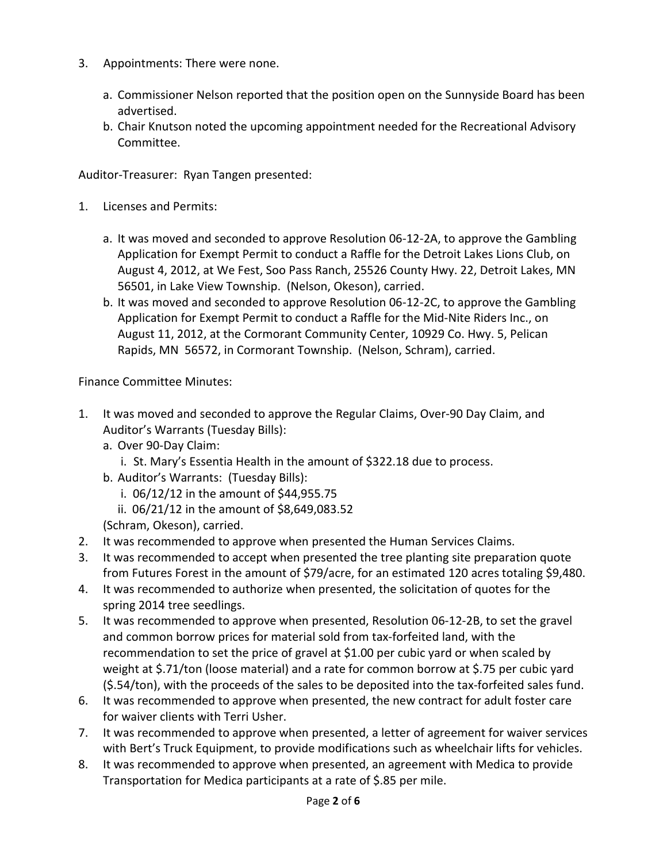- 3. Appointments: There were none.
	- a. Commissioner Nelson reported that the position open on the Sunnyside Board has been advertised.
	- b. Chair Knutson noted the upcoming appointment needed for the Recreational Advisory Committee.

Auditor-Treasurer: Ryan Tangen presented:

- 1. Licenses and Permits:
	- a. It was moved and seconded to approve Resolution 06-12-2A, to approve the Gambling Application for Exempt Permit to conduct a Raffle for the Detroit Lakes Lions Club, on August 4, 2012, at We Fest, Soo Pass Ranch, 25526 County Hwy. 22, Detroit Lakes, MN 56501, in Lake View Township. (Nelson, Okeson), carried.
	- b. It was moved and seconded to approve Resolution 06-12-2C, to approve the Gambling Application for Exempt Permit to conduct a Raffle for the Mid-Nite Riders Inc., on August 11, 2012, at the Cormorant Community Center, 10929 Co. Hwy. 5, Pelican Rapids, MN 56572, in Cormorant Township. (Nelson, Schram), carried.

Finance Committee Minutes:

- 1. It was moved and seconded to approve the Regular Claims, Over-90 Day Claim, and Auditor's Warrants (Tuesday Bills):
	- a. Over 90-Day Claim:
		- i. St. Mary's Essentia Health in the amount of \$322.18 due to process.
	- b. Auditor's Warrants: (Tuesday Bills):
		- i. 06/12/12 in the amount of \$44,955.75
		- ii. 06/21/12 in the amount of \$8,649,083.52

(Schram, Okeson), carried.

- 2. It was recommended to approve when presented the Human Services Claims.
- 3. It was recommended to accept when presented the tree planting site preparation quote from Futures Forest in the amount of \$79/acre, for an estimated 120 acres totaling \$9,480.
- 4. It was recommended to authorize when presented, the solicitation of quotes for the spring 2014 tree seedlings.
- 5. It was recommended to approve when presented, Resolution 06-12-2B, to set the gravel and common borrow prices for material sold from tax-forfeited land, with the recommendation to set the price of gravel at \$1.00 per cubic yard or when scaled by weight at \$.71/ton (loose material) and a rate for common borrow at \$.75 per cubic yard (\$.54/ton), with the proceeds of the sales to be deposited into the tax-forfeited sales fund.
- 6. It was recommended to approve when presented, the new contract for adult foster care for waiver clients with Terri Usher.
- 7. It was recommended to approve when presented, a letter of agreement for waiver services with Bert's Truck Equipment, to provide modifications such as wheelchair lifts for vehicles.
- 8. It was recommended to approve when presented, an agreement with Medica to provide Transportation for Medica participants at a rate of \$.85 per mile.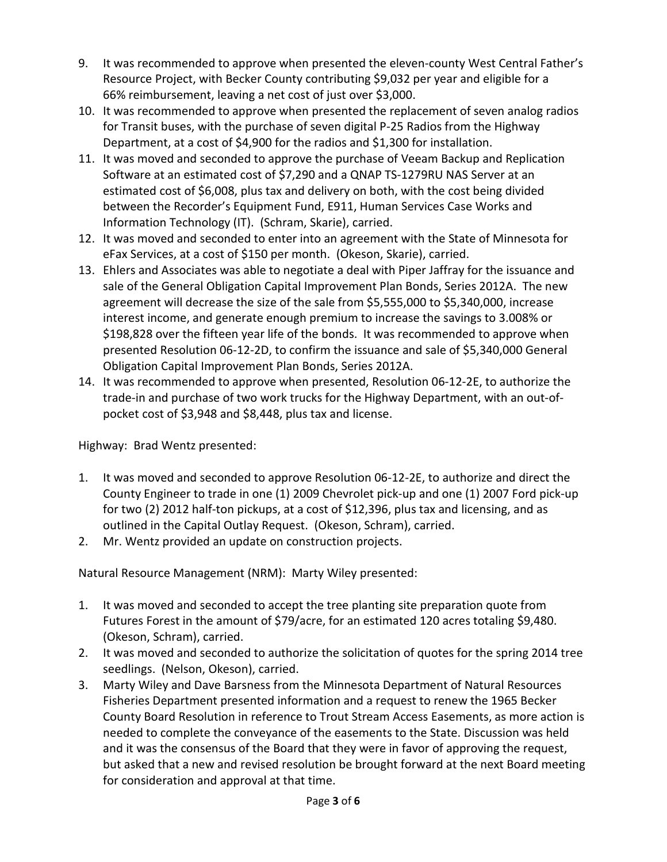- 9. It was recommended to approve when presented the eleven-county West Central Father's Resource Project, with Becker County contributing \$9,032 per year and eligible for a 66% reimbursement, leaving a net cost of just over \$3,000.
- 10. It was recommended to approve when presented the replacement of seven analog radios for Transit buses, with the purchase of seven digital P-25 Radios from the Highway Department, at a cost of \$4,900 for the radios and \$1,300 for installation.
- 11. It was moved and seconded to approve the purchase of Veeam Backup and Replication Software at an estimated cost of \$7,290 and a QNAP TS-1279RU NAS Server at an estimated cost of \$6,008, plus tax and delivery on both, with the cost being divided between the Recorder's Equipment Fund, E911, Human Services Case Works and Information Technology (IT). (Schram, Skarie), carried.
- 12. It was moved and seconded to enter into an agreement with the State of Minnesota for eFax Services, at a cost of \$150 per month. (Okeson, Skarie), carried.
- 13. Ehlers and Associates was able to negotiate a deal with Piper Jaffray for the issuance and sale of the General Obligation Capital Improvement Plan Bonds, Series 2012A. The new agreement will decrease the size of the sale from \$5,555,000 to \$5,340,000, increase interest income, and generate enough premium to increase the savings to 3.008% or \$198,828 over the fifteen year life of the bonds. It was recommended to approve when presented Resolution 06-12-2D, to confirm the issuance and sale of \$5,340,000 General Obligation Capital Improvement Plan Bonds, Series 2012A.
- 14. It was recommended to approve when presented, Resolution 06-12-2E, to authorize the trade-in and purchase of two work trucks for the Highway Department, with an out-ofpocket cost of \$3,948 and \$8,448, plus tax and license.

Highway: Brad Wentz presented:

- 1. It was moved and seconded to approve Resolution 06-12-2E, to authorize and direct the County Engineer to trade in one (1) 2009 Chevrolet pick-up and one (1) 2007 Ford pick-up for two (2) 2012 half-ton pickups, at a cost of \$12,396, plus tax and licensing, and as outlined in the Capital Outlay Request. (Okeson, Schram), carried.
- 2. Mr. Wentz provided an update on construction projects.

Natural Resource Management (NRM): Marty Wiley presented:

- 1. It was moved and seconded to accept the tree planting site preparation quote from Futures Forest in the amount of \$79/acre, for an estimated 120 acres totaling \$9,480. (Okeson, Schram), carried.
- 2. It was moved and seconded to authorize the solicitation of quotes for the spring 2014 tree seedlings. (Nelson, Okeson), carried.
- 3. Marty Wiley and Dave Barsness from the Minnesota Department of Natural Resources Fisheries Department presented information and a request to renew the 1965 Becker County Board Resolution in reference to Trout Stream Access Easements, as more action is needed to complete the conveyance of the easements to the State. Discussion was held and it was the consensus of the Board that they were in favor of approving the request, but asked that a new and revised resolution be brought forward at the next Board meeting for consideration and approval at that time.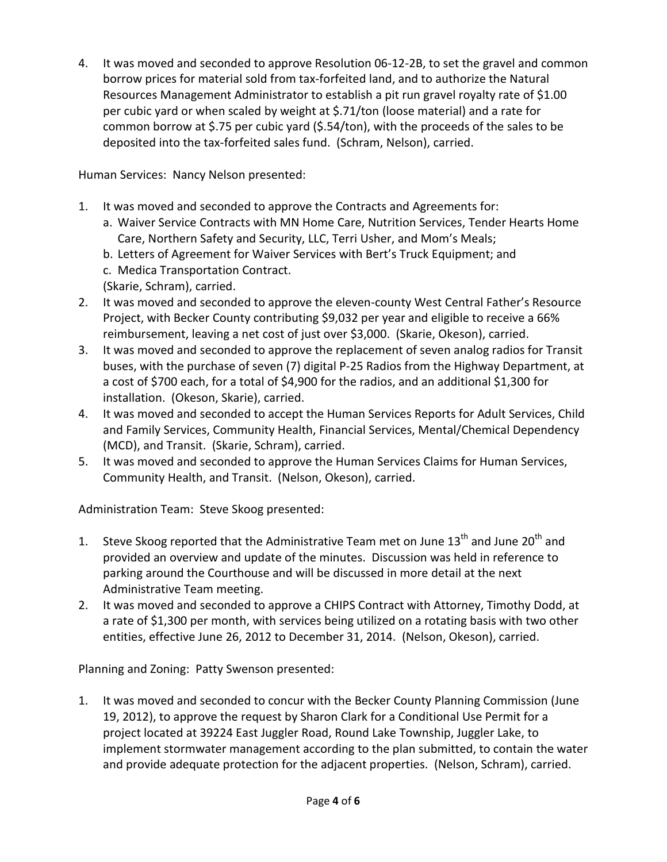4. It was moved and seconded to approve Resolution 06-12-2B, to set the gravel and common borrow prices for material sold from tax-forfeited land, and to authorize the Natural Resources Management Administrator to establish a pit run gravel royalty rate of \$1.00 per cubic yard or when scaled by weight at \$.71/ton (loose material) and a rate for common borrow at \$.75 per cubic yard (\$.54/ton), with the proceeds of the sales to be deposited into the tax-forfeited sales fund. (Schram, Nelson), carried.

Human Services: Nancy Nelson presented:

- 1. It was moved and seconded to approve the Contracts and Agreements for:
	- a. Waiver Service Contracts with MN Home Care, Nutrition Services, Tender Hearts Home Care, Northern Safety and Security, LLC, Terri Usher, and Mom's Meals;
	- b. Letters of Agreement for Waiver Services with Bert's Truck Equipment; and
	- c. Medica Transportation Contract.
	- (Skarie, Schram), carried.
- 2. It was moved and seconded to approve the eleven-county West Central Father's Resource Project, with Becker County contributing \$9,032 per year and eligible to receive a 66% reimbursement, leaving a net cost of just over \$3,000. (Skarie, Okeson), carried.
- 3. It was moved and seconded to approve the replacement of seven analog radios for Transit buses, with the purchase of seven (7) digital P-25 Radios from the Highway Department, at a cost of \$700 each, for a total of \$4,900 for the radios, and an additional \$1,300 for installation. (Okeson, Skarie), carried.
- 4. It was moved and seconded to accept the Human Services Reports for Adult Services, Child and Family Services, Community Health, Financial Services, Mental/Chemical Dependency (MCD), and Transit. (Skarie, Schram), carried.
- 5. It was moved and seconded to approve the Human Services Claims for Human Services, Community Health, and Transit. (Nelson, Okeson), carried.

Administration Team: Steve Skoog presented:

- 1. Steve Skoog reported that the Administrative Team met on June  $13<sup>th</sup>$  and June 20<sup>th</sup> and provided an overview and update of the minutes. Discussion was held in reference to parking around the Courthouse and will be discussed in more detail at the next Administrative Team meeting.
- 2. It was moved and seconded to approve a CHIPS Contract with Attorney, Timothy Dodd, at a rate of \$1,300 per month, with services being utilized on a rotating basis with two other entities, effective June 26, 2012 to December 31, 2014. (Nelson, Okeson), carried.

Planning and Zoning: Patty Swenson presented:

1. It was moved and seconded to concur with the Becker County Planning Commission (June 19, 2012), to approve the request by Sharon Clark for a Conditional Use Permit for a project located at 39224 East Juggler Road, Round Lake Township, Juggler Lake, to implement stormwater management according to the plan submitted, to contain the water and provide adequate protection for the adjacent properties. (Nelson, Schram), carried.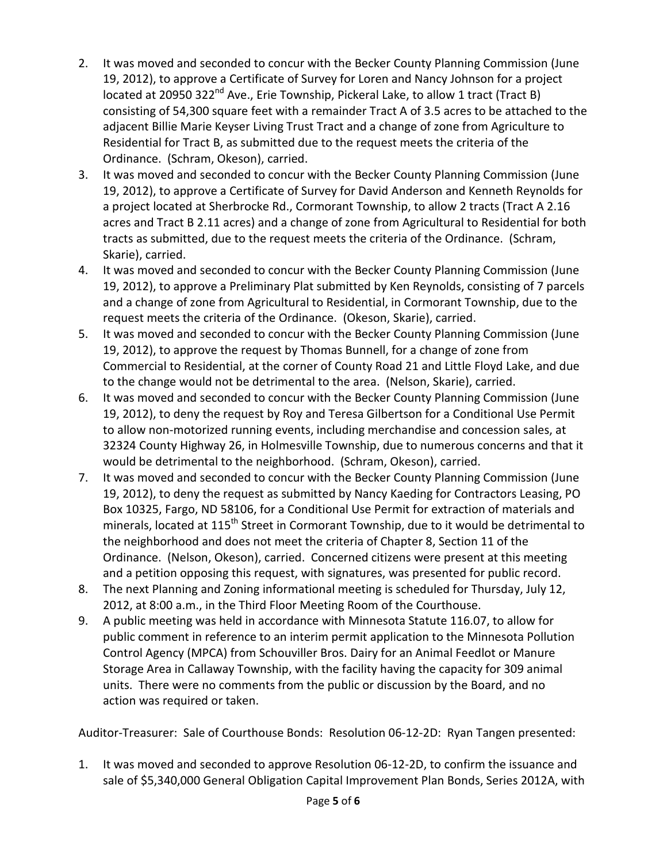- 2. It was moved and seconded to concur with the Becker County Planning Commission (June 19, 2012), to approve a Certificate of Survey for Loren and Nancy Johnson for a project located at 20950 322 $^{nd}$  Ave., Erie Township, Pickeral Lake, to allow 1 tract (Tract B) consisting of 54,300 square feet with a remainder Tract A of 3.5 acres to be attached to the adjacent Billie Marie Keyser Living Trust Tract and a change of zone from Agriculture to Residential for Tract B, as submitted due to the request meets the criteria of the Ordinance. (Schram, Okeson), carried.
- 3. It was moved and seconded to concur with the Becker County Planning Commission (June 19, 2012), to approve a Certificate of Survey for David Anderson and Kenneth Reynolds for a project located at Sherbrocke Rd., Cormorant Township, to allow 2 tracts (Tract A 2.16 acres and Tract B 2.11 acres) and a change of zone from Agricultural to Residential for both tracts as submitted, due to the request meets the criteria of the Ordinance. (Schram, Skarie), carried.
- 4. It was moved and seconded to concur with the Becker County Planning Commission (June 19, 2012), to approve a Preliminary Plat submitted by Ken Reynolds, consisting of 7 parcels and a change of zone from Agricultural to Residential, in Cormorant Township, due to the request meets the criteria of the Ordinance. (Okeson, Skarie), carried.
- 5. It was moved and seconded to concur with the Becker County Planning Commission (June 19, 2012), to approve the request by Thomas Bunnell, for a change of zone from Commercial to Residential, at the corner of County Road 21 and Little Floyd Lake, and due to the change would not be detrimental to the area. (Nelson, Skarie), carried.
- 6. It was moved and seconded to concur with the Becker County Planning Commission (June 19, 2012), to deny the request by Roy and Teresa Gilbertson for a Conditional Use Permit to allow non-motorized running events, including merchandise and concession sales, at 32324 County Highway 26, in Holmesville Township, due to numerous concerns and that it would be detrimental to the neighborhood. (Schram, Okeson), carried.
- 7. It was moved and seconded to concur with the Becker County Planning Commission (June 19, 2012), to deny the request as submitted by Nancy Kaeding for Contractors Leasing, PO Box 10325, Fargo, ND 58106, for a Conditional Use Permit for extraction of materials and minerals, located at 115<sup>th</sup> Street in Cormorant Township, due to it would be detrimental to the neighborhood and does not meet the criteria of Chapter 8, Section 11 of the Ordinance. (Nelson, Okeson), carried. Concerned citizens were present at this meeting and a petition opposing this request, with signatures, was presented for public record.
- 8. The next Planning and Zoning informational meeting is scheduled for Thursday, July 12, 2012, at 8:00 a.m., in the Third Floor Meeting Room of the Courthouse.
- 9. A public meeting was held in accordance with Minnesota Statute 116.07, to allow for public comment in reference to an interim permit application to the Minnesota Pollution Control Agency (MPCA) from Schouviller Bros. Dairy for an Animal Feedlot or Manure Storage Area in Callaway Township, with the facility having the capacity for 309 animal units. There were no comments from the public or discussion by the Board, and no action was required or taken.

Auditor-Treasurer: Sale of Courthouse Bonds: Resolution 06-12-2D: Ryan Tangen presented:

1. It was moved and seconded to approve Resolution 06-12-2D, to confirm the issuance and sale of \$5,340,000 General Obligation Capital Improvement Plan Bonds, Series 2012A, with